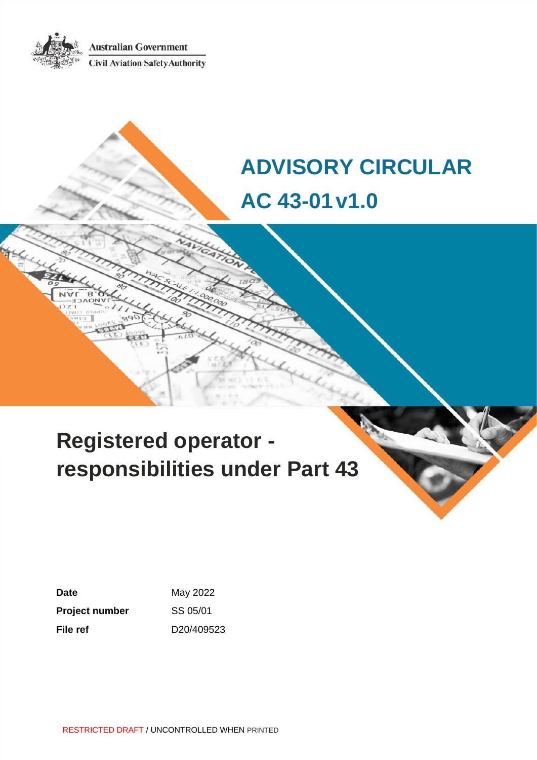**Australian Government** 



**Civil Aviation Safety Authority** 

# **ADVISORY CIRCULAR AC 43-01v1.0**

# **Registered operator responsibilities under Part 43**

**Date** May 2022 **Project number** SS 05/01 **File ref** D20/409523

RESTRICTED DRAFT / UNCONTROLLED WHEN PRINTED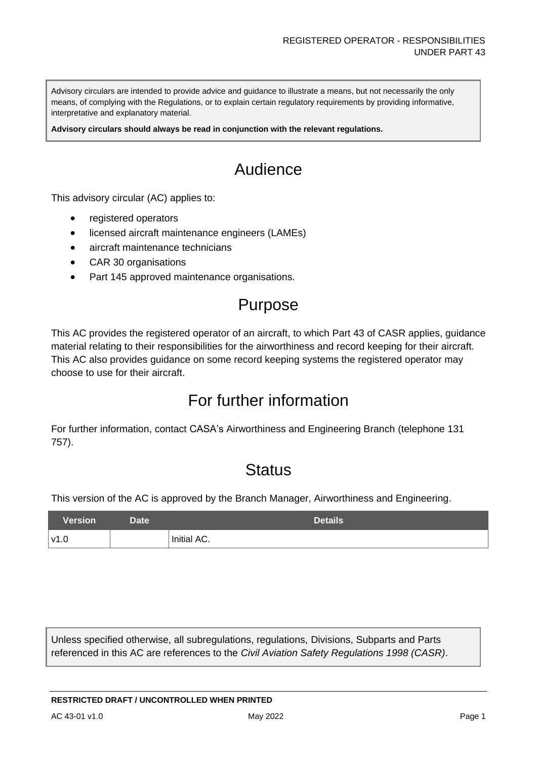Advisory circulars are intended to provide advice and guidance to illustrate a means, but not necessarily the only means, of complying with the Regulations, or to explain certain regulatory requirements by providing informative, interpretative and explanatory material.

**Advisory circulars should always be read in conjunction with the relevant regulations.**

# Audience

This advisory circular (AC) applies to:

- registered operators
- licensed aircraft maintenance engineers (LAMEs)
- aircraft maintenance technicians
- CAR 30 organisations
- Part 145 approved maintenance organisations.

# Purpose

This AC provides the registered operator of an aircraft, to which Part 43 of CASR applies, guidance material relating to their responsibilities for the airworthiness and record keeping for their aircraft. This AC also provides guidance on some record keeping systems the registered operator may choose to use for their aircraft.

# For further information

For further information, contact CASA's Airworthiness and Engineering Branch (telephone 131 757).

# **Status**

This version of the AC is approved by the Branch Manager, Airworthiness and Engineering.

| <b>Version</b> | Date <sup>1</sup> | <b>Details</b> |
|----------------|-------------------|----------------|
| v1.0           |                   | Initial AC.    |

Unless specified otherwise, all subregulations, regulations, Divisions, Subparts and Parts referenced in this AC are references to the *Civil Aviation Safety Regulations 1998 (CASR)*.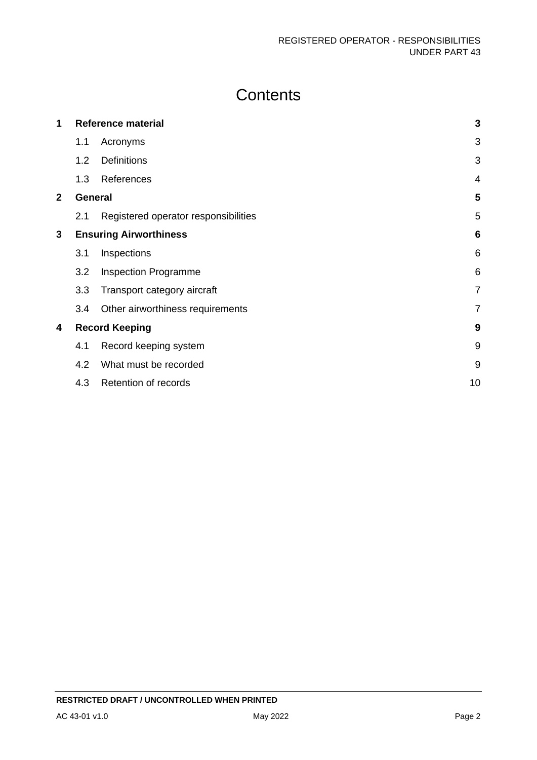# **Contents**

| 1              |     | <b>Reference material</b>            | $\mathbf{3}$    |
|----------------|-----|--------------------------------------|-----------------|
|                | 1.1 | Acronyms                             | 3               |
|                | 1.2 | <b>Definitions</b>                   | 3               |
|                | 1.3 | References                           | $\overline{4}$  |
| $\overline{2}$ |     | General                              |                 |
|                | 2.1 | Registered operator responsibilities | 5               |
| 3              |     | <b>Ensuring Airworthiness</b>        |                 |
|                | 3.1 | Inspections                          | 6               |
|                | 3.2 | <b>Inspection Programme</b>          | $6\phantom{1}6$ |
|                | 3.3 | Transport category aircraft          | $\overline{7}$  |
|                | 3.4 | Other airworthiness requirements     | 7               |
| 4              |     | <b>Record Keeping</b>                |                 |
|                | 4.1 | Record keeping system                | 9               |
|                | 4.2 | What must be recorded                | 9               |
|                | 4.3 | Retention of records                 | 10              |
|                |     |                                      |                 |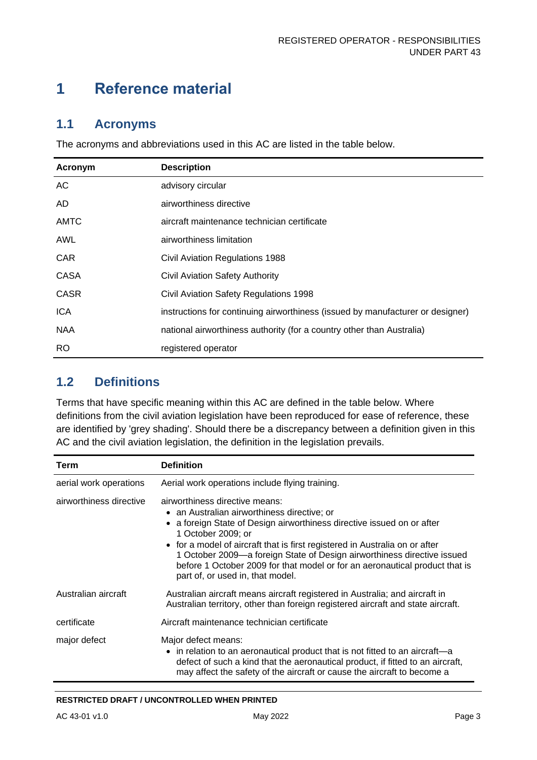# <span id="page-3-0"></span>**1 Reference material**

### <span id="page-3-1"></span>**1.1 Acronyms**

The acronyms and abbreviations used in this AC are listed in the table below.

| Acronym     | <b>Description</b>                                                             |
|-------------|--------------------------------------------------------------------------------|
| AC          | advisory circular                                                              |
| AD.         | airworthiness directive                                                        |
| <b>AMTC</b> | aircraft maintenance technician certificate                                    |
| AWL         | airworthiness limitation                                                       |
| <b>CAR</b>  | Civil Aviation Regulations 1988                                                |
| CASA        | <b>Civil Aviation Safety Authority</b>                                         |
| <b>CASR</b> | Civil Aviation Safety Regulations 1998                                         |
| <b>ICA</b>  | instructions for continuing airworthiness (issued by manufacturer or designer) |
| <b>NAA</b>  | national airworthiness authority (for a country other than Australia)          |
| RO.         | registered operator                                                            |

### <span id="page-3-2"></span>**1.2 Definitions**

Terms that have specific meaning within this AC are defined in the table below. Where definitions from the civil aviation legislation have been reproduced for ease of reference, these are identified by 'grey shading'. Should there be a discrepancy between a definition given in this AC and the civil aviation legislation, the definition in the legislation prevails.

| Term                    | <b>Definition</b>                                                                                                                                                                                                                                                                                                                                                                                                                                        |
|-------------------------|----------------------------------------------------------------------------------------------------------------------------------------------------------------------------------------------------------------------------------------------------------------------------------------------------------------------------------------------------------------------------------------------------------------------------------------------------------|
| aerial work operations  | Aerial work operations include flying training.                                                                                                                                                                                                                                                                                                                                                                                                          |
| airworthiness directive | airworthiness directive means:<br>• an Australian airworthiness directive; or<br>a foreign State of Design airworthiness directive issued on or after<br>1 October 2009; or<br>• for a model of aircraft that is first registered in Australia on or after<br>1 October 2009—a foreign State of Design airworthiness directive issued<br>before 1 October 2009 for that model or for an aeronautical product that is<br>part of, or used in, that model. |
| Australian aircraft     | Australian aircraft means aircraft registered in Australia; and aircraft in<br>Australian territory, other than foreign registered aircraft and state aircraft.                                                                                                                                                                                                                                                                                          |
| certificate             | Aircraft maintenance technician certificate                                                                                                                                                                                                                                                                                                                                                                                                              |
| major defect            | Major defect means:<br>• in relation to an aeronautical product that is not fitted to an aircraft-a<br>defect of such a kind that the aeronautical product, if fitted to an aircraft,<br>may affect the safety of the aircraft or cause the aircraft to become a                                                                                                                                                                                         |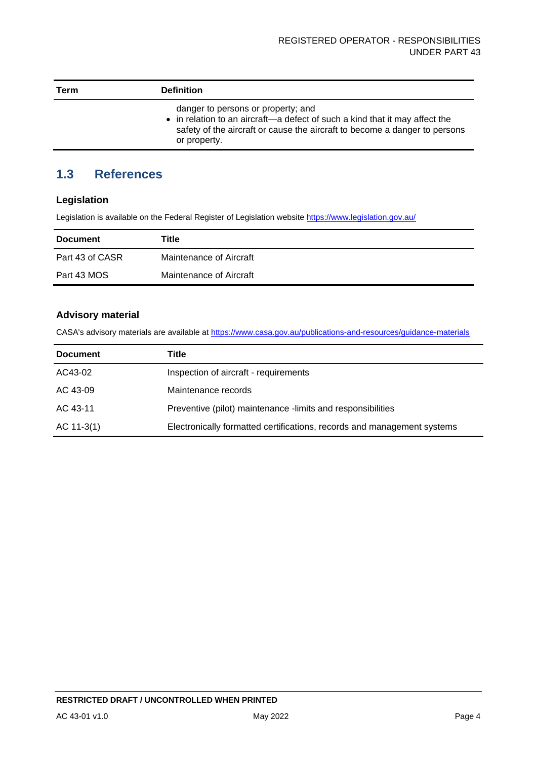| Term | <b>Definition</b>                                                                                                                                                                                               |
|------|-----------------------------------------------------------------------------------------------------------------------------------------------------------------------------------------------------------------|
|      | danger to persons or property; and<br>• in relation to an aircraft—a defect of such a kind that it may affect the<br>safety of the aircraft or cause the aircraft to become a danger to persons<br>or property. |

## <span id="page-4-0"></span>**1.3 References**

#### **Legislation**

Legislation is available on the Federal Register of Legislation website<https://www.legislation.gov.au/>

| <b>Document</b> | Title                   |
|-----------------|-------------------------|
| Part 43 of CASR | Maintenance of Aircraft |
| Part 43 MOS     | Maintenance of Aircraft |

#### **Advisory material**

CASA's advisory materials are available at<https://www.casa.gov.au/publications-and-resources/guidance-materials>

| <b>Document</b> | Title                                                                   |
|-----------------|-------------------------------------------------------------------------|
| AC43-02         | Inspection of aircraft - requirements                                   |
| AC 43-09        | Maintenance records                                                     |
| AC 43-11        | Preventive (pilot) maintenance -limits and responsibilities             |
| $AC 11-3(1)$    | Electronically formatted certifications, records and management systems |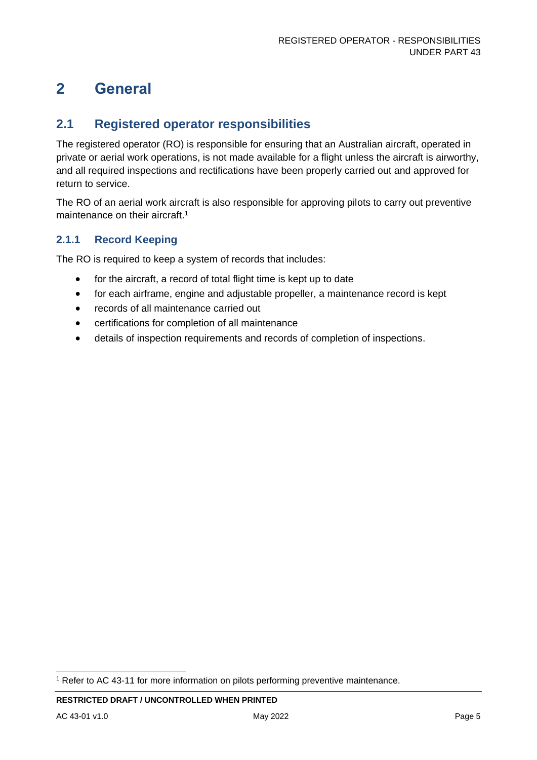# <span id="page-5-0"></span>**2 General**

### <span id="page-5-1"></span>**2.1 Registered operator responsibilities**

The registered operator (RO) is responsible for ensuring that an Australian aircraft, operated in private or aerial work operations, is not made available for a flight unless the aircraft is airworthy, and all required inspections and rectifications have been properly carried out and approved for return to service.

The RO of an aerial work aircraft is also responsible for approving pilots to carry out preventive maintenance on their aircraft. 1

#### **2.1.1 Record Keeping**

The RO is required to keep a system of records that includes:

- for the aircraft, a record of total flight time is kept up to date
- for each airframe, engine and adjustable propeller, a maintenance record is kept
- records of all maintenance carried out
- certifications for completion of all maintenance
- details of inspection requirements and records of completion of inspections.

<sup>1</sup> Refer to AC 43-11 for more information on pilots performing preventive maintenance.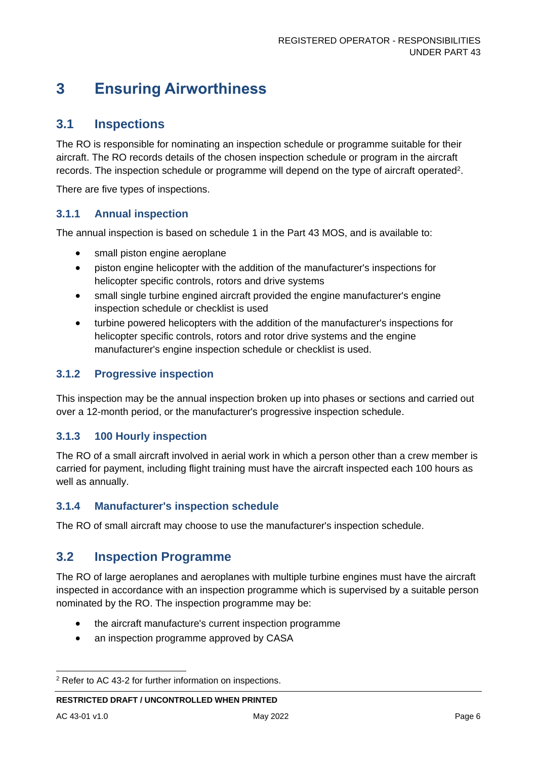# <span id="page-6-0"></span>**3 Ensuring Airworthiness**

### <span id="page-6-1"></span>**3.1 Inspections**

The RO is responsible for nominating an inspection schedule or programme suitable for their aircraft. The RO records details of the chosen inspection schedule or program in the aircraft records. The inspection schedule or programme will depend on the type of aircraft operated<sup>2</sup>.

There are five types of inspections.

#### **3.1.1 Annual inspection**

The annual inspection is based on schedule 1 in the Part 43 MOS, and is available to:

- small piston engine aeroplane
- piston engine helicopter with the addition of the manufacturer's inspections for helicopter specific controls, rotors and drive systems
- small single turbine engined aircraft provided the engine manufacturer's engine inspection schedule or checklist is used
- turbine powered helicopters with the addition of the manufacturer's inspections for helicopter specific controls, rotors and rotor drive systems and the engine manufacturer's engine inspection schedule or checklist is used.

#### **3.1.2 Progressive inspection**

This inspection may be the annual inspection broken up into phases or sections and carried out over a 12-month period, or the manufacturer's progressive inspection schedule.

#### **3.1.3 100 Hourly inspection**

The RO of a small aircraft involved in aerial work in which a person other than a crew member is carried for payment, including flight training must have the aircraft inspected each 100 hours as well as annually.

#### **3.1.4 Manufacturer's inspection schedule**

The RO of small aircraft may choose to use the manufacturer's inspection schedule.

### <span id="page-6-2"></span>**3.2 Inspection Programme**

The RO of large aeroplanes and aeroplanes with multiple turbine engines must have the aircraft inspected in accordance with an inspection programme which is supervised by a suitable person nominated by the RO. The inspection programme may be:

- the aircraft manufacture's current inspection programme
- an inspection programme approved by CASA

<sup>2</sup> Refer to AC 43-2 for further information on inspections.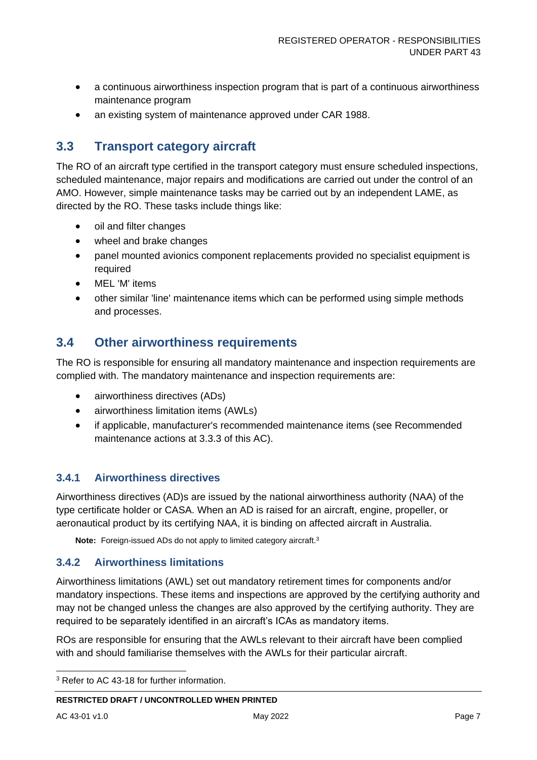- a continuous airworthiness inspection program that is part of a continuous airworthiness maintenance program
- an existing system of maintenance approved under CAR 1988.

## <span id="page-7-0"></span>**3.3 Transport category aircraft**

The RO of an aircraft type certified in the transport category must ensure scheduled inspections, scheduled maintenance, major repairs and modifications are carried out under the control of an AMO. However, simple maintenance tasks may be carried out by an independent LAME, as directed by the RO. These tasks include things like:

- oil and filter changes
- wheel and brake changes
- panel mounted avionics component replacements provided no specialist equipment is required
- MEL 'M' items
- other similar 'line' maintenance items which can be performed using simple methods and processes.

### <span id="page-7-1"></span>**3.4 Other airworthiness requirements**

The RO is responsible for ensuring all mandatory maintenance and inspection requirements are complied with. The mandatory maintenance and inspection requirements are:

- airworthiness directives (ADs)
- airworthiness limitation items (AWLs)
- if applicable, manufacturer's recommended maintenance items (see Recommended maintenance actions at 3.3.3 of this AC).

#### **3.4.1 Airworthiness directives**

Airworthiness directives (AD)s are issued by the national airworthiness authority (NAA) of the type certificate holder or CASA. When an AD is raised for an aircraft, engine, propeller, or aeronautical product by its certifying NAA, it is binding on affected aircraft in Australia.

Note: Foreign-issued ADs do not apply to limited category aircraft.<sup>3</sup>

#### **3.4.2 Airworthiness limitations**

Airworthiness limitations (AWL) set out mandatory retirement times for components and/or mandatory inspections. These items and inspections are approved by the certifying authority and may not be changed unless the changes are also approved by the certifying authority. They are required to be separately identified in an aircraft's ICAs as mandatory items.

ROs are responsible for ensuring that the AWLs relevant to their aircraft have been complied with and should familiarise themselves with the AWLs for their particular aircraft.

<sup>&</sup>lt;sup>3</sup> Refer to AC 43-18 for further information.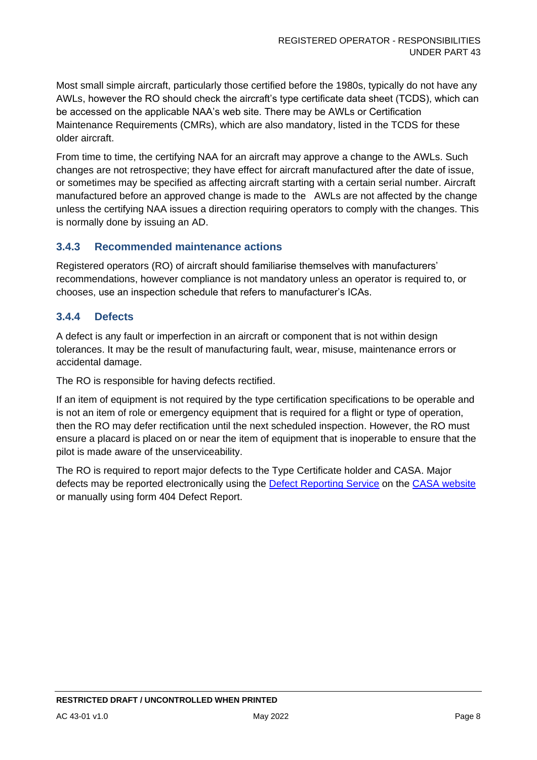Most small simple aircraft, particularly those certified before the 1980s, typically do not have any AWLs, however the RO should check the aircraft's type certificate data sheet (TCDS), which can be accessed on the applicable NAA's web site. There may be AWLs or Certification Maintenance Requirements (CMRs), which are also mandatory, listed in the TCDS for these older aircraft.

From time to time, the certifying NAA for an aircraft may approve a change to the AWLs. Such changes are not retrospective; they have effect for aircraft manufactured after the date of issue, or sometimes may be specified as affecting aircraft starting with a certain serial number. Aircraft manufactured before an approved change is made to the AWLs are not affected by the change unless the certifying NAA issues a direction requiring operators to comply with the changes. This is normally done by issuing an AD.

#### **3.4.3 Recommended maintenance actions**

Registered operators (RO) of aircraft should familiarise themselves with manufacturers' recommendations, however compliance is not mandatory unless an operator is required to, or chooses, use an inspection schedule that refers to manufacturer's ICAs.

#### **3.4.4 Defects**

A defect is any fault or imperfection in an aircraft or component that is not within design tolerances. It may be the result of manufacturing fault, wear, misuse, maintenance errors or accidental damage.

The RO is responsible for having defects rectified.

If an item of equipment is not required by the type certification specifications to be operable and is not an item of role or emergency equipment that is required for a flight or type of operation, then the RO may defer rectification until the next scheduled inspection. However, the RO must ensure a placard is placed on or near the item of equipment that is inoperable to ensure that the pilot is made aware of the unserviceability.

The RO is required to report major defects to the Type Certificate holder and CASA. Major defects may be reported electronically using the [Defect Reporting Service](https://www.casa.gov.au/resources-and-education/our-systems/defect-report-service) on the [CASA website](http://www.casa.gov.au/) or manually using form 404 Defect Report.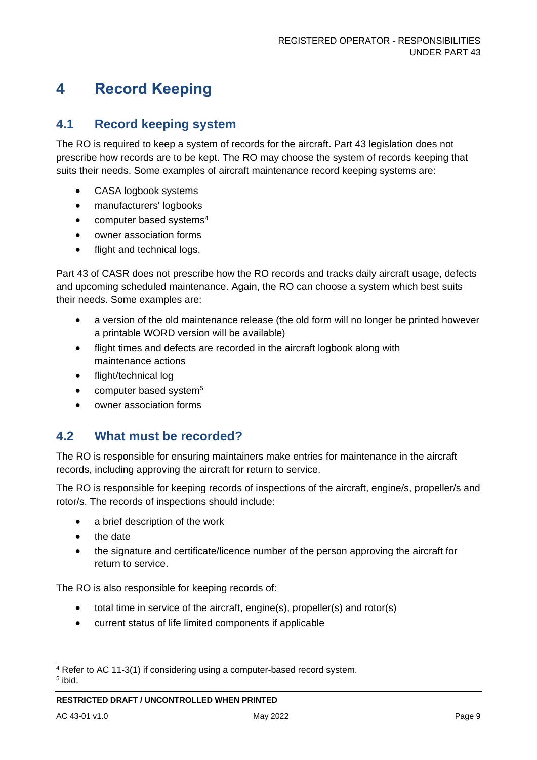# <span id="page-9-0"></span>**4 Record Keeping**

### <span id="page-9-1"></span>**4.1 Record keeping system**

The RO is required to keep a system of records for the aircraft. Part 43 legislation does not prescribe how records are to be kept. The RO may choose the system of records keeping that suits their needs. Some examples of aircraft maintenance record keeping systems are:

- CASA logbook systems
- manufacturers' logbooks
- computer based systems<sup>4</sup>
- owner association forms
- flight and technical logs.

Part 43 of CASR does not prescribe how the RO records and tracks daily aircraft usage, defects and upcoming scheduled maintenance. Again, the RO can choose a system which best suits their needs. Some examples are:

- a version of the old maintenance release (the old form will no longer be printed however a printable WORD version will be available)
- flight times and defects are recorded in the aircraft logbook along with maintenance actions
- flight/technical log
- computer based system<sup>5</sup>
- owner association forms

### <span id="page-9-2"></span>**4.2 What must be recorded?**

The RO is responsible for ensuring maintainers make entries for maintenance in the aircraft records, including approving the aircraft for return to service.

The RO is responsible for keeping records of inspections of the aircraft, engine/s, propeller/s and rotor/s. The records of inspections should include:

- a brief description of the work
- the date
- the signature and certificate/licence number of the person approving the aircraft for return to service.

The RO is also responsible for keeping records of:

- total time in service of the aircraft, engine(s), propeller(s) and rotor(s)
- current status of life limited components if applicable

<sup>4</sup> Refer to AC 11-3(1) if considering using a computer-based record system.

<sup>5</sup> ibid.